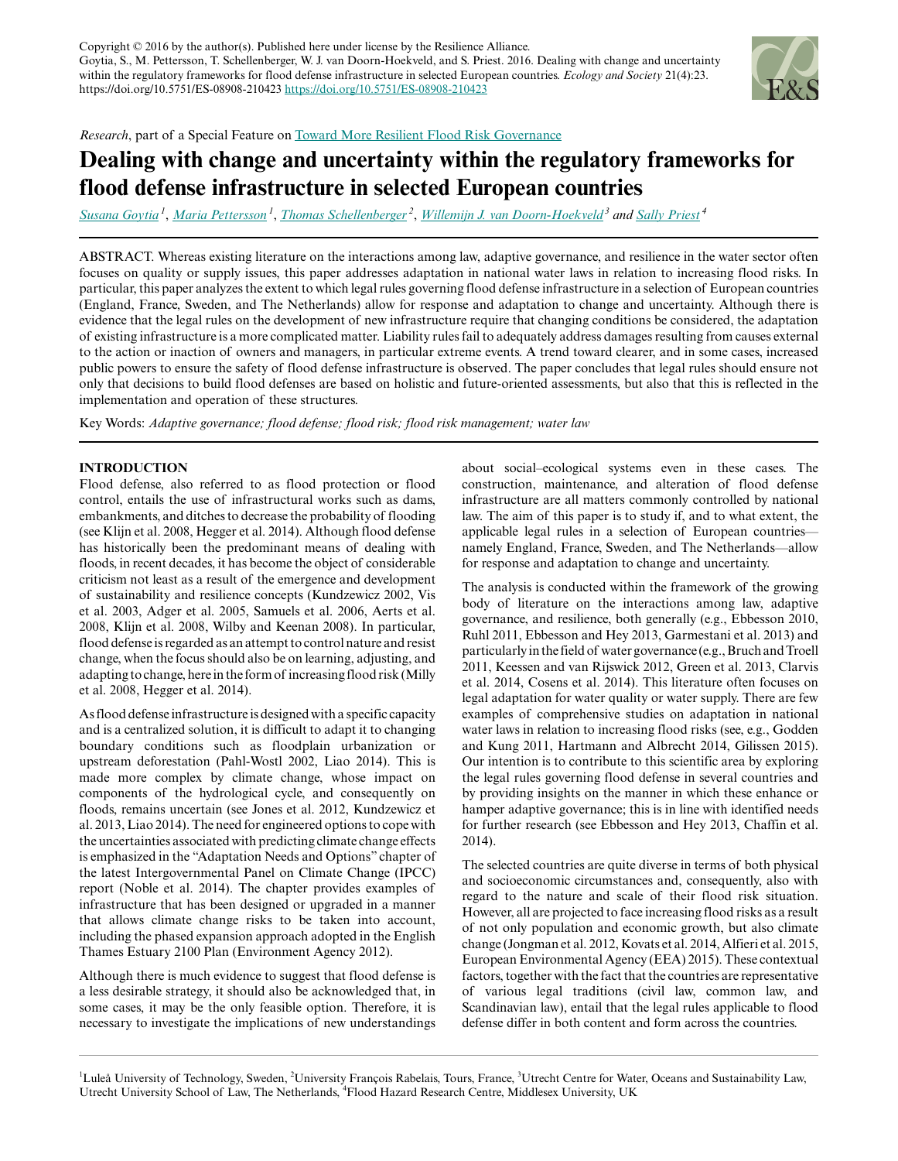

*Research*, part of a Special Feature on [Toward More Resilient Flood Risk Governance](http://www.ecologyandsociety.org/viewissue.php?sf=115)

# **Dealing with change and uncertainty within the regulatory frameworks for flood defense infrastructure in selected European countries**

*[Susana Goytia](mailto:susana.goytia@ltu.se)<sup>1</sup>* , *[Maria Pettersson](mailto:maria.pettersson@ltu.se)<sup>1</sup>* , *[Thomas Schellenberger](mailto:thomas.schellen@gmail.com)<sup>2</sup>* , *[Willemijn J. van Doorn-Hoekveld](mailto:w.j.hoekveld@uu.nl)<sup>3</sup> and [Sally Priest](mailto:s.priest@mdx.ac.uk)<sup>4</sup>*

ABSTRACT. Whereas existing literature on the interactions among law, adaptive governance, and resilience in the water sector often focuses on quality or supply issues, this paper addresses adaptation in national water laws in relation to increasing flood risks. In particular, this paper analyzes the extent to which legal rules governing flood defense infrastructure in a selection of European countries (England, France, Sweden, and The Netherlands) allow for response and adaptation to change and uncertainty. Although there is evidence that the legal rules on the development of new infrastructure require that changing conditions be considered, the adaptation of existing infrastructure is a more complicated matter. Liability rules fail to adequately address damages resulting from causes external to the action or inaction of owners and managers, in particular extreme events. A trend toward clearer, and in some cases, increased public powers to ensure the safety of flood defense infrastructure is observed. The paper concludes that legal rules should ensure not only that decisions to build flood defenses are based on holistic and future-oriented assessments, but also that this is reflected in the implementation and operation of these structures.

Key Words: *Adaptive governance; flood defense; flood risk; flood risk management; water law*

# **INTRODUCTION**

Flood defense, also referred to as flood protection or flood control, entails the use of infrastructural works such as dams, embankments, and ditches to decrease the probability of flooding (see Klijn et al. 2008, Hegger et al. 2014). Although flood defense has historically been the predominant means of dealing with floods, in recent decades, it has become the object of considerable criticism not least as a result of the emergence and development of sustainability and resilience concepts (Kundzewicz 2002, Vis et al. 2003, Adger et al. 2005, Samuels et al. 2006, Aerts et al. 2008, Klijn et al. 2008, Wilby and Keenan 2008). In particular, flood defense is regarded as an attempt to control nature and resist change, when the focus should also be on learning, adjusting, and adapting to change, here in the form of increasing flood risk (Milly et al. 2008, Hegger et al. 2014).

As flood defense infrastructure is designed with a specific capacity and is a centralized solution, it is difficult to adapt it to changing boundary conditions such as floodplain urbanization or upstream deforestation (Pahl-Wostl 2002, Liao 2014). This is made more complex by climate change, whose impact on components of the hydrological cycle, and consequently on floods, remains uncertain (see Jones et al. 2012, Kundzewicz et al. 2013, Liao 2014). The need for engineered options to cope with the uncertainties associated with predicting climate change effects is emphasized in the "Adaptation Needs and Options" chapter of the latest Intergovernmental Panel on Climate Change (IPCC) report (Noble et al. 2014). The chapter provides examples of infrastructure that has been designed or upgraded in a manner that allows climate change risks to be taken into account, including the phased expansion approach adopted in the English Thames Estuary 2100 Plan (Environment Agency 2012).

Although there is much evidence to suggest that flood defense is a less desirable strategy, it should also be acknowledged that, in some cases, it may be the only feasible option. Therefore, it is necessary to investigate the implications of new understandings about social–ecological systems even in these cases. The construction, maintenance, and alteration of flood defense infrastructure are all matters commonly controlled by national law. The aim of this paper is to study if, and to what extent, the applicable legal rules in a selection of European countries namely England, France, Sweden, and The Netherlands—allow for response and adaptation to change and uncertainty.

The analysis is conducted within the framework of the growing body of literature on the interactions among law, adaptive governance, and resilience, both generally (e.g., Ebbesson 2010, Ruhl 2011, Ebbesson and Hey 2013, Garmestani et al. 2013) and particularly in the field of water governance (e.g., Bruch and Troell 2011, Keessen and van Rijswick 2012, Green et al. 2013, Clarvis et al. 2014, Cosens et al. 2014). This literature often focuses on legal adaptation for water quality or water supply. There are few examples of comprehensive studies on adaptation in national water laws in relation to increasing flood risks (see, e.g., Godden and Kung 2011, Hartmann and Albrecht 2014, Gilissen 2015). Our intention is to contribute to this scientific area by exploring the legal rules governing flood defense in several countries and by providing insights on the manner in which these enhance or hamper adaptive governance; this is in line with identified needs for further research (see Ebbesson and Hey 2013, Chaffin et al. 2014).

The selected countries are quite diverse in terms of both physical and socioeconomic circumstances and, consequently, also with regard to the nature and scale of their flood risk situation. However, all are projected to face increasing flood risks as a result of not only population and economic growth, but also climate change (Jongman et al. 2012, Kovats et al. 2014, Alfieri et al. 2015, European Environmental Agency (EEA) 2015). These contextual factors, together with the fact that the countries are representative of various legal traditions (civil law, common law, and Scandinavian law), entail that the legal rules applicable to flood defense differ in both content and form across the countries.

<sup>1</sup>Luleå University of Technology, Sweden, <sup>2</sup>University François Rabelais, Tours, France, <sup>3</sup>Utrecht Centre for Water, Oceans and Sustainability Law, Utrecht University School of Law, The Netherlands, <sup>4</sup>Flood Hazard Research Centre, Middlesex University, UK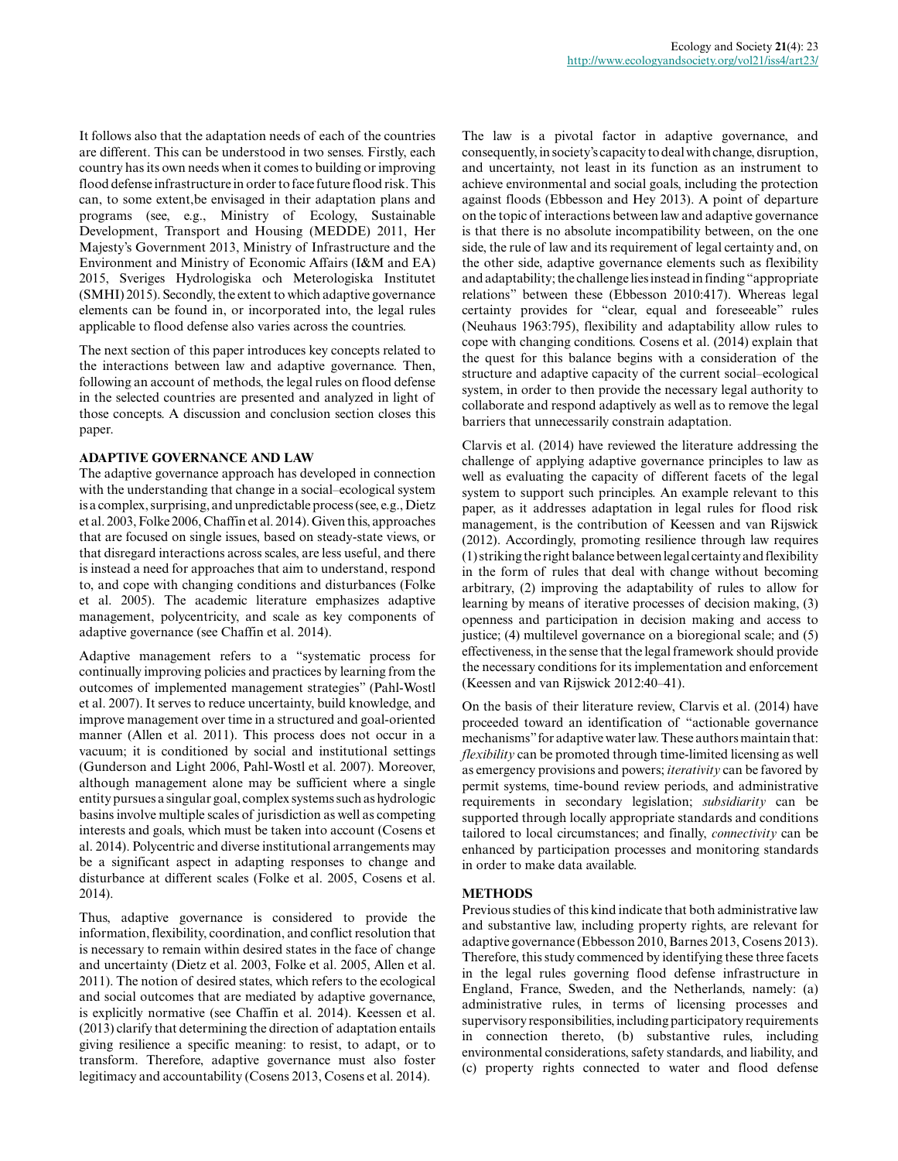It follows also that the adaptation needs of each of the countries are different. This can be understood in two senses. Firstly, each country has its own needs when it comes to building or improving flood defense infrastructure in order to face future flood risk. This can, to some extent,be envisaged in their adaptation plans and programs (see, e.g., Ministry of Ecology, Sustainable Development, Transport and Housing (MEDDE) 2011, Her Majesty's Government 2013, Ministry of Infrastructure and the Environment and Ministry of Economic Affairs (I&M and EA) 2015, Sveriges Hydrologiska och Meterologiska Institutet (SMHI) 2015). Secondly, the extent to which adaptive governance elements can be found in, or incorporated into, the legal rules applicable to flood defense also varies across the countries.

The next section of this paper introduces key concepts related to the interactions between law and adaptive governance. Then, following an account of methods, the legal rules on flood defense in the selected countries are presented and analyzed in light of those concepts. A discussion and conclusion section closes this paper.

## **ADAPTIVE GOVERNANCE AND LAW**

The adaptive governance approach has developed in connection with the understanding that change in a social–ecological system is a complex, surprising, and unpredictable process (see, e.g., Dietz et al. 2003, Folke 2006, Chaffin et al. 2014). Given this, approaches that are focused on single issues, based on steady-state views, or that disregard interactions across scales, are less useful, and there is instead a need for approaches that aim to understand, respond to, and cope with changing conditions and disturbances (Folke et al. 2005). The academic literature emphasizes adaptive management, polycentricity, and scale as key components of adaptive governance (see Chaffin et al. 2014).

Adaptive management refers to a "systematic process for continually improving policies and practices by learning from the outcomes of implemented management strategies" (Pahl-Wostl et al. 2007). It serves to reduce uncertainty, build knowledge, and improve management over time in a structured and goal-oriented manner (Allen et al. 2011). This process does not occur in a vacuum; it is conditioned by social and institutional settings (Gunderson and Light 2006, Pahl-Wostl et al. 2007). Moreover, although management alone may be sufficient where a single entity pursues a singular goal, complex systems such as hydrologic basins involve multiple scales of jurisdiction as well as competing interests and goals, which must be taken into account (Cosens et al. 2014). Polycentric and diverse institutional arrangements may be a significant aspect in adapting responses to change and disturbance at different scales (Folke et al. 2005, Cosens et al. 2014).

Thus, adaptive governance is considered to provide the information, flexibility, coordination, and conflict resolution that is necessary to remain within desired states in the face of change and uncertainty (Dietz et al. 2003, Folke et al. 2005, Allen et al. 2011). The notion of desired states, which refers to the ecological and social outcomes that are mediated by adaptive governance, is explicitly normative (see Chaffin et al. 2014). Keessen et al. (2013) clarify that determining the direction of adaptation entails giving resilience a specific meaning: to resist, to adapt, or to transform. Therefore, adaptive governance must also foster legitimacy and accountability (Cosens 2013, Cosens et al. 2014).

The law is a pivotal factor in adaptive governance, and consequently, in society's capacity to deal with change, disruption, and uncertainty, not least in its function as an instrument to achieve environmental and social goals, including the protection against floods (Ebbesson and Hey 2013). A point of departure on the topic of interactions between law and adaptive governance is that there is no absolute incompatibility between, on the one side, the rule of law and its requirement of legal certainty and, on the other side, adaptive governance elements such as flexibility and adaptability; the challenge lies instead in finding "appropriate relations" between these (Ebbesson 2010:417). Whereas legal certainty provides for "clear, equal and foreseeable" rules (Neuhaus 1963:795), flexibility and adaptability allow rules to cope with changing conditions. Cosens et al. (2014) explain that the quest for this balance begins with a consideration of the structure and adaptive capacity of the current social–ecological system, in order to then provide the necessary legal authority to collaborate and respond adaptively as well as to remove the legal barriers that unnecessarily constrain adaptation.

Clarvis et al. (2014) have reviewed the literature addressing the challenge of applying adaptive governance principles to law as well as evaluating the capacity of different facets of the legal system to support such principles. An example relevant to this paper, as it addresses adaptation in legal rules for flood risk management, is the contribution of Keessen and van Rijswick (2012). Accordingly, promoting resilience through law requires (1) striking the right balance between legal certainty and flexibility in the form of rules that deal with change without becoming arbitrary, (2) improving the adaptability of rules to allow for learning by means of iterative processes of decision making, (3) openness and participation in decision making and access to justice; (4) multilevel governance on a bioregional scale; and (5) effectiveness, in the sense that the legal framework should provide the necessary conditions for its implementation and enforcement (Keessen and van Rijswick 2012:40–41).

On the basis of their literature review, Clarvis et al. (2014) have proceeded toward an identification of "actionable governance mechanisms" for adaptive water law. These authors maintain that: *flexibility* can be promoted through time-limited licensing as well as emergency provisions and powers; *iterativity* can be favored by permit systems, time-bound review periods, and administrative requirements in secondary legislation; *subsidiarity* can be supported through locally appropriate standards and conditions tailored to local circumstances; and finally, *connectivity* can be enhanced by participation processes and monitoring standards in order to make data available.

#### **METHODS**

Previous studies of this kind indicate that both administrative law and substantive law, including property rights, are relevant for adaptive governance (Ebbesson 2010, Barnes 2013, Cosens 2013). Therefore, this study commenced by identifying these three facets in the legal rules governing flood defense infrastructure in England, France, Sweden, and the Netherlands, namely: (a) administrative rules, in terms of licensing processes and supervisory responsibilities, including participatory requirements in connection thereto, (b) substantive rules, including environmental considerations, safety standards, and liability, and (c) property rights connected to water and flood defense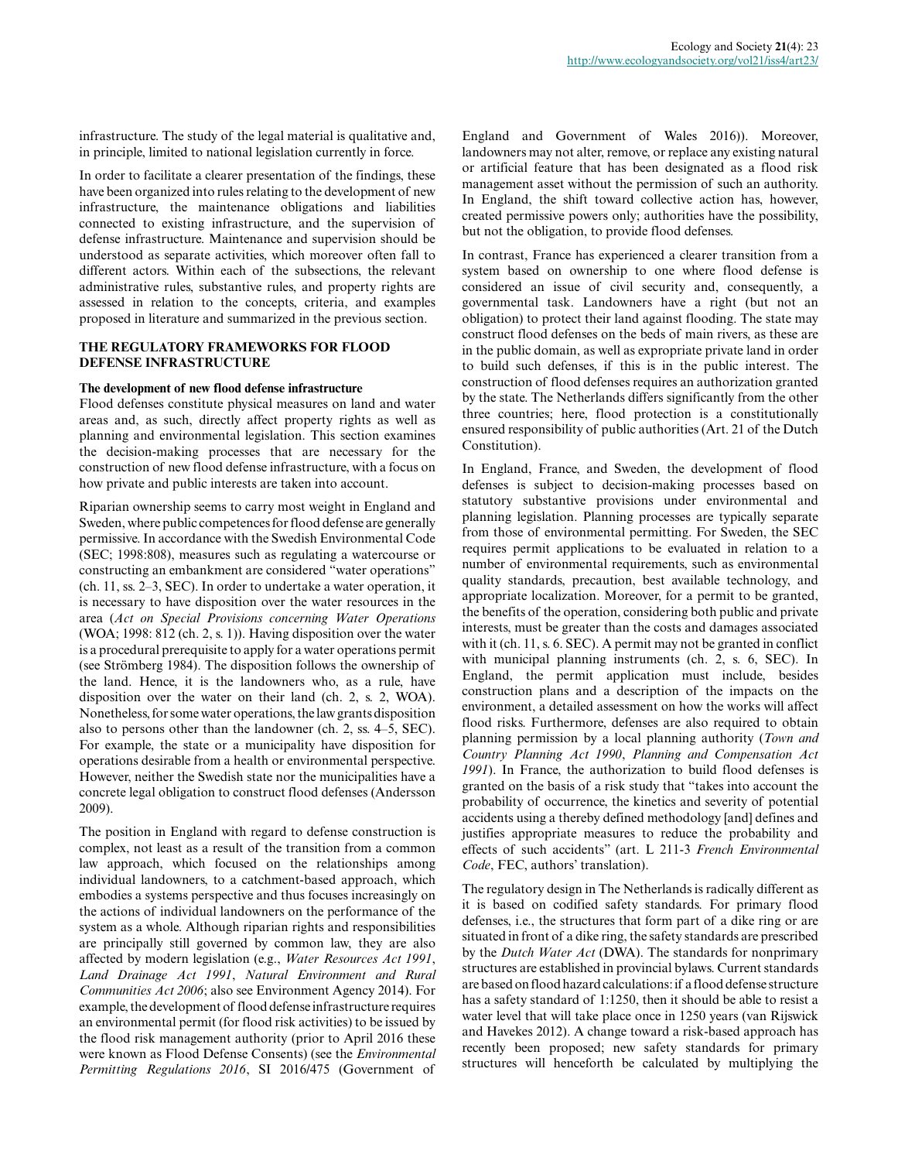infrastructure. The study of the legal material is qualitative and, in principle, limited to national legislation currently in force.

In order to facilitate a clearer presentation of the findings, these have been organized into rules relating to the development of new infrastructure, the maintenance obligations and liabilities connected to existing infrastructure, and the supervision of defense infrastructure. Maintenance and supervision should be understood as separate activities, which moreover often fall to different actors. Within each of the subsections, the relevant administrative rules, substantive rules, and property rights are assessed in relation to the concepts, criteria, and examples proposed in literature and summarized in the previous section.

## **THE REGULATORY FRAMEWORKS FOR FLOOD DEFENSE INFRASTRUCTURE**

#### **The development of new flood defense infrastructure**

Flood defenses constitute physical measures on land and water areas and, as such, directly affect property rights as well as planning and environmental legislation. This section examines the decision-making processes that are necessary for the construction of new flood defense infrastructure, with a focus on how private and public interests are taken into account.

Riparian ownership seems to carry most weight in England and Sweden, where public competences for flood defense are generally permissive. In accordance with the Swedish Environmental Code (SEC; 1998:808), measures such as regulating a watercourse or constructing an embankment are considered "water operations" (ch. 11, ss. 2–3, SEC). In order to undertake a water operation, it is necessary to have disposition over the water resources in the area (*Act on Special Provisions concerning Water Operations* (WOA; 1998: 812 (ch. 2, s. 1)). Having disposition over the water is a procedural prerequisite to apply for a water operations permit (see Strömberg 1984). The disposition follows the ownership of the land. Hence, it is the landowners who, as a rule, have disposition over the water on their land (ch. 2, s. 2, WOA). Nonetheless, for some water operations, the law grants disposition also to persons other than the landowner (ch. 2, ss. 4–5, SEC). For example, the state or a municipality have disposition for operations desirable from a health or environmental perspective. However, neither the Swedish state nor the municipalities have a concrete legal obligation to construct flood defenses (Andersson 2009).

The position in England with regard to defense construction is complex, not least as a result of the transition from a common law approach, which focused on the relationships among individual landowners, to a catchment-based approach, which embodies a systems perspective and thus focuses increasingly on the actions of individual landowners on the performance of the system as a whole. Although riparian rights and responsibilities are principally still governed by common law, they are also affected by modern legislation (e.g., *Water Resources Act 1991*, *Land Drainage Act 1991*, *Natural Environment and Rural Communities Act 2006*; also see Environment Agency 2014). For example, the development of flood defense infrastructure requires an environmental permit (for flood risk activities) to be issued by the flood risk management authority (prior to April 2016 these were known as Flood Defense Consents) (see the *Environmental Permitting Regulations 2016*, SI 2016/475 (Government of

England and Government of Wales 2016)). Moreover, landowners may not alter, remove, or replace any existing natural or artificial feature that has been designated as a flood risk management asset without the permission of such an authority. In England, the shift toward collective action has, however, created permissive powers only; authorities have the possibility, but not the obligation, to provide flood defenses.

In contrast, France has experienced a clearer transition from a system based on ownership to one where flood defense is considered an issue of civil security and, consequently, a governmental task. Landowners have a right (but not an obligation) to protect their land against flooding. The state may construct flood defenses on the beds of main rivers, as these are in the public domain, as well as expropriate private land in order to build such defenses, if this is in the public interest. The construction of flood defenses requires an authorization granted by the state. The Netherlands differs significantly from the other three countries; here, flood protection is a constitutionally ensured responsibility of public authorities (Art. 21 of the Dutch Constitution).

In England, France, and Sweden, the development of flood defenses is subject to decision-making processes based on statutory substantive provisions under environmental and planning legislation. Planning processes are typically separate from those of environmental permitting. For Sweden, the SEC requires permit applications to be evaluated in relation to a number of environmental requirements, such as environmental quality standards, precaution, best available technology, and appropriate localization. Moreover, for a permit to be granted, the benefits of the operation, considering both public and private interests, must be greater than the costs and damages associated with it (ch. 11, s. 6. SEC). A permit may not be granted in conflict with municipal planning instruments (ch. 2, s. 6, SEC). In England, the permit application must include, besides construction plans and a description of the impacts on the environment, a detailed assessment on how the works will affect flood risks. Furthermore, defenses are also required to obtain planning permission by a local planning authority (*Town and Country Planning Act 1990*, *Planning and Compensation Act 1991*). In France, the authorization to build flood defenses is granted on the basis of a risk study that "takes into account the probability of occurrence, the kinetics and severity of potential accidents using a thereby defined methodology [and] defines and justifies appropriate measures to reduce the probability and effects of such accidents" (art. L 211-3 *French Environmental Code*, FEC, authors' translation).

The regulatory design in The Netherlands is radically different as it is based on codified safety standards. For primary flood defenses, i.e., the structures that form part of a dike ring or are situated in front of a dike ring, the safety standards are prescribed by the *Dutch Water Act* (DWA). The standards for nonprimary structures are established in provincial bylaws. Current standards are based on flood hazard calculations: if a flood defense structure has a safety standard of 1:1250, then it should be able to resist a water level that will take place once in 1250 years (van Rijswick and Havekes 2012). A change toward a risk-based approach has recently been proposed; new safety standards for primary structures will henceforth be calculated by multiplying the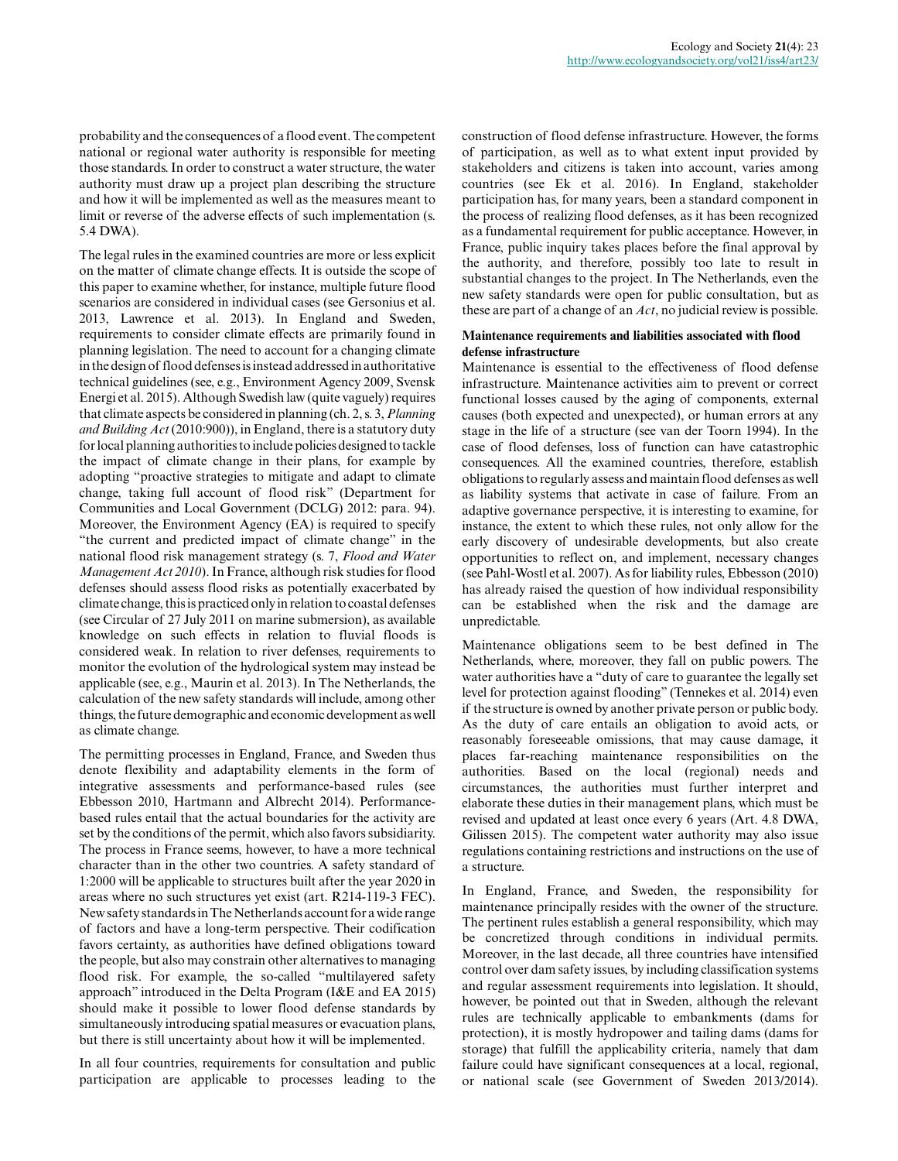probability and the consequences of a flood event. The competent national or regional water authority is responsible for meeting those standards. In order to construct a water structure, the water authority must draw up a project plan describing the structure and how it will be implemented as well as the measures meant to limit or reverse of the adverse effects of such implementation (s. 5.4 DWA).

The legal rules in the examined countries are more or less explicit on the matter of climate change effects. It is outside the scope of this paper to examine whether, for instance, multiple future flood scenarios are considered in individual cases (see Gersonius et al. 2013, Lawrence et al. 2013). In England and Sweden, requirements to consider climate effects are primarily found in planning legislation. The need to account for a changing climate in the design of flood defenses is instead addressed in authoritative technical guidelines (see, e.g., Environment Agency 2009, Svensk Energi et al. 2015). Although Swedish law (quite vaguely) requires that climate aspects be considered in planning (ch. 2, s. 3, *Planning and Building Act* (2010:900)), in England, there is a statutory duty for local planning authorities to include policies designed to tackle the impact of climate change in their plans, for example by adopting "proactive strategies to mitigate and adapt to climate change, taking full account of flood risk" (Department for Communities and Local Government (DCLG) 2012: para. 94). Moreover, the Environment Agency (EA) is required to specify "the current and predicted impact of climate change" in the national flood risk management strategy (s. 7, *Flood and Water Management Act 2010*). In France, although risk studies for flood defenses should assess flood risks as potentially exacerbated by climate change, this is practiced only in relation to coastal defenses (see Circular of 27 July 2011 on marine submersion), as available knowledge on such effects in relation to fluvial floods is considered weak. In relation to river defenses, requirements to monitor the evolution of the hydrological system may instead be applicable (see, e.g., Maurin et al. 2013). In The Netherlands, the calculation of the new safety standards will include, among other things, the future demographic and economic development as well as climate change.

The permitting processes in England, France, and Sweden thus denote flexibility and adaptability elements in the form of integrative assessments and performance-based rules (see Ebbesson 2010, Hartmann and Albrecht 2014). Performancebased rules entail that the actual boundaries for the activity are set by the conditions of the permit, which also favors subsidiarity. The process in France seems, however, to have a more technical character than in the other two countries. A safety standard of 1:2000 will be applicable to structures built after the year 2020 in areas where no such structures yet exist (art. R214-119-3 FEC). New safety standards in The Netherlands account for a wide range of factors and have a long-term perspective. Their codification favors certainty, as authorities have defined obligations toward the people, but also may constrain other alternatives to managing flood risk. For example, the so-called "multilayered safety approach" introduced in the Delta Program (I&E and EA 2015) should make it possible to lower flood defense standards by simultaneously introducing spatial measures or evacuation plans, but there is still uncertainty about how it will be implemented.

In all four countries, requirements for consultation and public participation are applicable to processes leading to the construction of flood defense infrastructure. However, the forms of participation, as well as to what extent input provided by stakeholders and citizens is taken into account, varies among countries (see Ek et al. 2016). In England, stakeholder participation has, for many years, been a standard component in the process of realizing flood defenses, as it has been recognized as a fundamental requirement for public acceptance. However, in France, public inquiry takes places before the final approval by the authority, and therefore, possibly too late to result in substantial changes to the project. In The Netherlands, even the new safety standards were open for public consultation, but as these are part of a change of an *Act*, no judicial review is possible.

### **Maintenance requirements and liabilities associated with flood defense infrastructure**

Maintenance is essential to the effectiveness of flood defense infrastructure. Maintenance activities aim to prevent or correct functional losses caused by the aging of components, external causes (both expected and unexpected), or human errors at any stage in the life of a structure (see van der Toorn 1994). In the case of flood defenses, loss of function can have catastrophic consequences. All the examined countries, therefore, establish obligations to regularly assess and maintain flood defenses as well as liability systems that activate in case of failure. From an adaptive governance perspective, it is interesting to examine, for instance, the extent to which these rules, not only allow for the early discovery of undesirable developments, but also create opportunities to reflect on, and implement, necessary changes (see Pahl-Wostl et al. 2007). As for liability rules, Ebbesson (2010) has already raised the question of how individual responsibility can be established when the risk and the damage are unpredictable.

Maintenance obligations seem to be best defined in The Netherlands, where, moreover, they fall on public powers. The water authorities have a "duty of care to guarantee the legally set level for protection against flooding" (Tennekes et al. 2014) even if the structure is owned by another private person or public body. As the duty of care entails an obligation to avoid acts, or reasonably foreseeable omissions, that may cause damage, it places far-reaching maintenance responsibilities on the authorities. Based on the local (regional) needs and circumstances, the authorities must further interpret and elaborate these duties in their management plans, which must be revised and updated at least once every 6 years (Art. 4.8 DWA, Gilissen 2015). The competent water authority may also issue regulations containing restrictions and instructions on the use of a structure.

In England, France, and Sweden, the responsibility for maintenance principally resides with the owner of the structure. The pertinent rules establish a general responsibility, which may be concretized through conditions in individual permits. Moreover, in the last decade, all three countries have intensified control over dam safety issues, by including classification systems and regular assessment requirements into legislation. It should, however, be pointed out that in Sweden, although the relevant rules are technically applicable to embankments (dams for protection), it is mostly hydropower and tailing dams (dams for storage) that fulfill the applicability criteria, namely that dam failure could have significant consequences at a local, regional, or national scale (see Government of Sweden 2013/2014).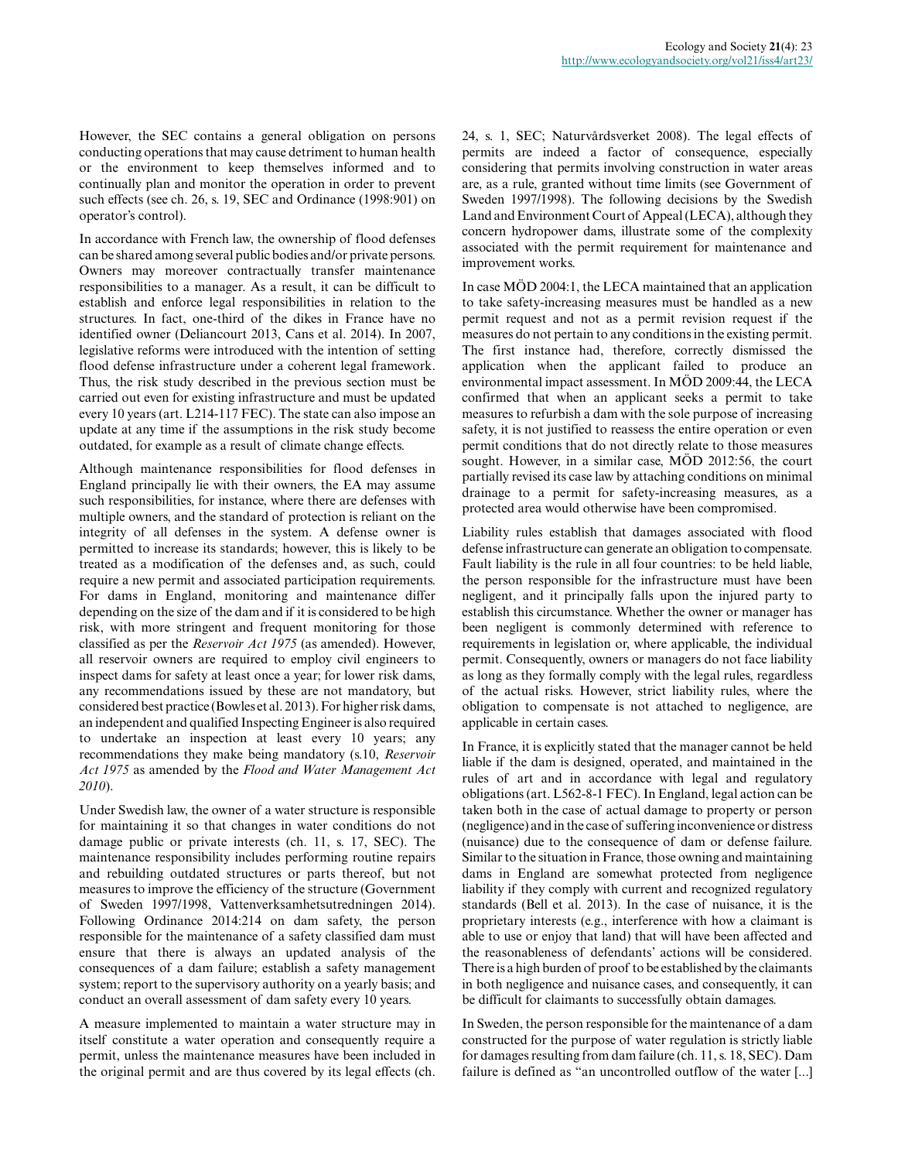However, the SEC contains a general obligation on persons conducting operations that may cause detriment to human health or the environment to keep themselves informed and to continually plan and monitor the operation in order to prevent such effects (see ch. 26, s. 19, SEC and Ordinance (1998:901) on operator's control).

In accordance with French law, the ownership of flood defenses can be shared among several public bodies and/or private persons. Owners may moreover contractually transfer maintenance responsibilities to a manager. As a result, it can be difficult to establish and enforce legal responsibilities in relation to the structures. In fact, one-third of the dikes in France have no identified owner (Deliancourt 2013, Cans et al. 2014). In 2007, legislative reforms were introduced with the intention of setting flood defense infrastructure under a coherent legal framework. Thus, the risk study described in the previous section must be carried out even for existing infrastructure and must be updated every 10 years (art. L214-117 FEC). The state can also impose an update at any time if the assumptions in the risk study become outdated, for example as a result of climate change effects.

Although maintenance responsibilities for flood defenses in England principally lie with their owners, the EA may assume such responsibilities, for instance, where there are defenses with multiple owners, and the standard of protection is reliant on the integrity of all defenses in the system. A defense owner is permitted to increase its standards; however, this is likely to be treated as a modification of the defenses and, as such, could require a new permit and associated participation requirements. For dams in England, monitoring and maintenance differ depending on the size of the dam and if it is considered to be high risk, with more stringent and frequent monitoring for those classified as per the *Reservoir Act 1975* (as amended). However, all reservoir owners are required to employ civil engineers to inspect dams for safety at least once a year; for lower risk dams, any recommendations issued by these are not mandatory, but considered best practice (Bowles et al. 2013). For higher risk dams, an independent and qualified Inspecting Engineer is also required to undertake an inspection at least every 10 years; any recommendations they make being mandatory (s.10, *Reservoir Act 1975* as amended by the *Flood and Water Management Act 2010*).

Under Swedish law, the owner of a water structure is responsible for maintaining it so that changes in water conditions do not damage public or private interests (ch. 11, s. 17, SEC). The maintenance responsibility includes performing routine repairs and rebuilding outdated structures or parts thereof, but not measures to improve the efficiency of the structure (Government of Sweden 1997/1998, Vattenverksamhetsutredningen 2014). Following Ordinance 2014:214 on dam safety, the person responsible for the maintenance of a safety classified dam must ensure that there is always an updated analysis of the consequences of a dam failure; establish a safety management system; report to the supervisory authority on a yearly basis; and conduct an overall assessment of dam safety every 10 years.

A measure implemented to maintain a water structure may in itself constitute a water operation and consequently require a permit, unless the maintenance measures have been included in the original permit and are thus covered by its legal effects (ch.

24, s. 1, SEC; Naturvårdsverket 2008). The legal effects of permits are indeed a factor of consequence, especially considering that permits involving construction in water areas are, as a rule, granted without time limits (see Government of Sweden 1997/1998). The following decisions by the Swedish Land and Environment Court of Appeal (LECA), although they concern hydropower dams, illustrate some of the complexity associated with the permit requirement for maintenance and improvement works.

In case MÖD 2004:1, the LECA maintained that an application to take safety-increasing measures must be handled as a new permit request and not as a permit revision request if the measures do not pertain to any conditions in the existing permit. The first instance had, therefore, correctly dismissed the application when the applicant failed to produce an environmental impact assessment. In MÖD 2009:44, the LECA confirmed that when an applicant seeks a permit to take measures to refurbish a dam with the sole purpose of increasing safety, it is not justified to reassess the entire operation or even permit conditions that do not directly relate to those measures sought. However, in a similar case, MÖD 2012:56, the court partially revised its case law by attaching conditions on minimal drainage to a permit for safety-increasing measures, as a protected area would otherwise have been compromised.

Liability rules establish that damages associated with flood defense infrastructure can generate an obligation to compensate. Fault liability is the rule in all four countries: to be held liable, the person responsible for the infrastructure must have been negligent, and it principally falls upon the injured party to establish this circumstance. Whether the owner or manager has been negligent is commonly determined with reference to requirements in legislation or, where applicable, the individual permit. Consequently, owners or managers do not face liability as long as they formally comply with the legal rules, regardless of the actual risks. However, strict liability rules, where the obligation to compensate is not attached to negligence, are applicable in certain cases.

In France, it is explicitly stated that the manager cannot be held liable if the dam is designed, operated, and maintained in the rules of art and in accordance with legal and regulatory obligations (art. L562-8-1 FEC). In England, legal action can be taken both in the case of actual damage to property or person (negligence) and in the case of suffering inconvenience or distress (nuisance) due to the consequence of dam or defense failure. Similar to the situation in France, those owning and maintaining dams in England are somewhat protected from negligence liability if they comply with current and recognized regulatory standards (Bell et al. 2013). In the case of nuisance, it is the proprietary interests (e.g., interference with how a claimant is able to use or enjoy that land) that will have been affected and the reasonableness of defendants' actions will be considered. There is a high burden of proof to be established by the claimants in both negligence and nuisance cases, and consequently, it can be difficult for claimants to successfully obtain damages.

In Sweden, the person responsible for the maintenance of a dam constructed for the purpose of water regulation is strictly liable for damages resulting from dam failure (ch. 11, s. 18, SEC). Dam failure is defined as "an uncontrolled outflow of the water [...]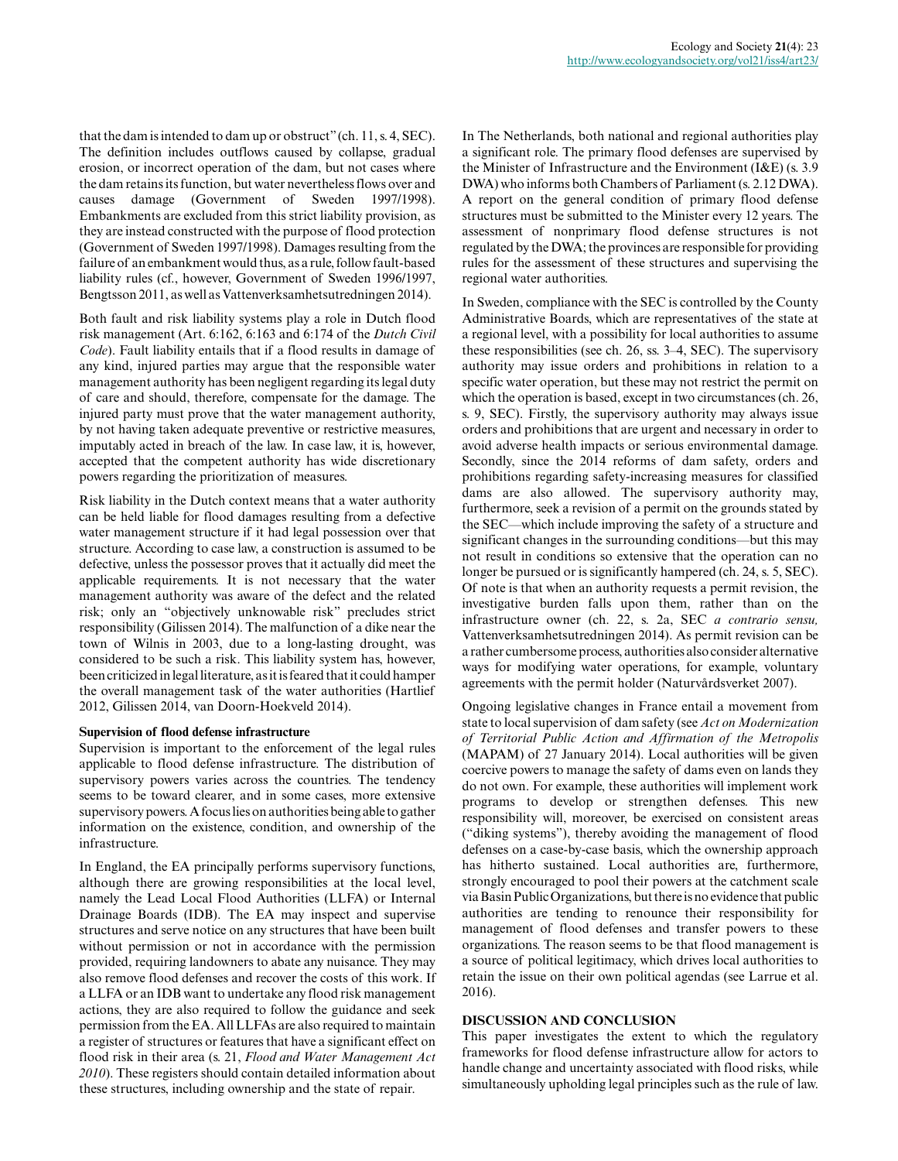that the dam is intended to dam up or obstruct" (ch. 11, s. 4, SEC). The definition includes outflows caused by collapse, gradual erosion, or incorrect operation of the dam, but not cases where the dam retains its function, but water nevertheless flows over and causes damage (Government of Sweden 1997/1998). Embankments are excluded from this strict liability provision, as they are instead constructed with the purpose of flood protection (Government of Sweden 1997/1998). Damages resulting from the failure of an embankment would thus, as a rule, follow fault-based liability rules (cf., however, Government of Sweden 1996/1997, Bengtsson 2011, as well as Vattenverksamhetsutredningen 2014).

Both fault and risk liability systems play a role in Dutch flood risk management (Art. 6:162, 6:163 and 6:174 of the *Dutch Civil Code*). Fault liability entails that if a flood results in damage of any kind, injured parties may argue that the responsible water management authority has been negligent regarding its legal duty of care and should, therefore, compensate for the damage. The injured party must prove that the water management authority, by not having taken adequate preventive or restrictive measures, imputably acted in breach of the law. In case law, it is, however, accepted that the competent authority has wide discretionary powers regarding the prioritization of measures.

Risk liability in the Dutch context means that a water authority can be held liable for flood damages resulting from a defective water management structure if it had legal possession over that structure. According to case law, a construction is assumed to be defective, unless the possessor proves that it actually did meet the applicable requirements. It is not necessary that the water management authority was aware of the defect and the related risk; only an "objectively unknowable risk" precludes strict responsibility (Gilissen 2014). The malfunction of a dike near the town of Wilnis in 2003, due to a long-lasting drought, was considered to be such a risk. This liability system has, however, been criticized in legal literature, as it is feared that it could hamper the overall management task of the water authorities (Hartlief 2012, Gilissen 2014, van Doorn-Hoekveld 2014).

#### **Supervision of flood defense infrastructure**

Supervision is important to the enforcement of the legal rules applicable to flood defense infrastructure. The distribution of supervisory powers varies across the countries. The tendency seems to be toward clearer, and in some cases, more extensive supervisory powers. A focus lies on authorities being able to gather information on the existence, condition, and ownership of the infrastructure.

In England, the EA principally performs supervisory functions, although there are growing responsibilities at the local level, namely the Lead Local Flood Authorities (LLFA) or Internal Drainage Boards (IDB). The EA may inspect and supervise structures and serve notice on any structures that have been built without permission or not in accordance with the permission provided, requiring landowners to abate any nuisance. They may also remove flood defenses and recover the costs of this work. If a LLFA or an IDB want to undertake any flood risk management actions, they are also required to follow the guidance and seek permission from the EA. All LLFAs are also required to maintain a register of structures or features that have a significant effect on flood risk in their area (s. 21, *Flood and Water Management Act 2010*). These registers should contain detailed information about these structures, including ownership and the state of repair.

In The Netherlands, both national and regional authorities play a significant role. The primary flood defenses are supervised by the Minister of Infrastructure and the Environment (I&E) (s. 3.9 DWA) who informs both Chambers of Parliament (s. 2.12 DWA). A report on the general condition of primary flood defense structures must be submitted to the Minister every 12 years. The assessment of nonprimary flood defense structures is not regulated by the DWA; the provinces are responsible for providing rules for the assessment of these structures and supervising the regional water authorities.

In Sweden, compliance with the SEC is controlled by the County Administrative Boards, which are representatives of the state at a regional level, with a possibility for local authorities to assume these responsibilities (see ch. 26, ss. 3–4, SEC). The supervisory authority may issue orders and prohibitions in relation to a specific water operation, but these may not restrict the permit on which the operation is based, except in two circumstances (ch. 26, s. 9, SEC). Firstly, the supervisory authority may always issue orders and prohibitions that are urgent and necessary in order to avoid adverse health impacts or serious environmental damage. Secondly, since the 2014 reforms of dam safety, orders and prohibitions regarding safety-increasing measures for classified dams are also allowed. The supervisory authority may, furthermore, seek a revision of a permit on the grounds stated by the SEC—which include improving the safety of a structure and significant changes in the surrounding conditions—but this may not result in conditions so extensive that the operation can no longer be pursued or is significantly hampered (ch. 24, s. 5, SEC). Of note is that when an authority requests a permit revision, the investigative burden falls upon them, rather than on the infrastructure owner (ch. 22, s. 2a, SEC *a contrario sensu,* Vattenverksamhetsutredningen 2014). As permit revision can be a rather cumbersome process, authorities also consider alternative ways for modifying water operations, for example, voluntary agreements with the permit holder (Naturvårdsverket 2007).

Ongoing legislative changes in France entail a movement from state to local supervision of dam safety (see *Act on Modernization of Territorial Public Action and Affirmation of the Metropolis* (MAPAM) of 27 January 2014). Local authorities will be given coercive powers to manage the safety of dams even on lands they do not own. For example, these authorities will implement work programs to develop or strengthen defenses. This new responsibility will, moreover, be exercised on consistent areas ("diking systems"), thereby avoiding the management of flood defenses on a case-by-case basis, which the ownership approach has hitherto sustained. Local authorities are, furthermore, strongly encouraged to pool their powers at the catchment scale via Basin Public Organizations, but there is no evidence that public authorities are tending to renounce their responsibility for management of flood defenses and transfer powers to these organizations. The reason seems to be that flood management is a source of political legitimacy, which drives local authorities to retain the issue on their own political agendas (see Larrue et al. 2016).

#### **DISCUSSION AND CONCLUSION**

This paper investigates the extent to which the regulatory frameworks for flood defense infrastructure allow for actors to handle change and uncertainty associated with flood risks, while simultaneously upholding legal principles such as the rule of law.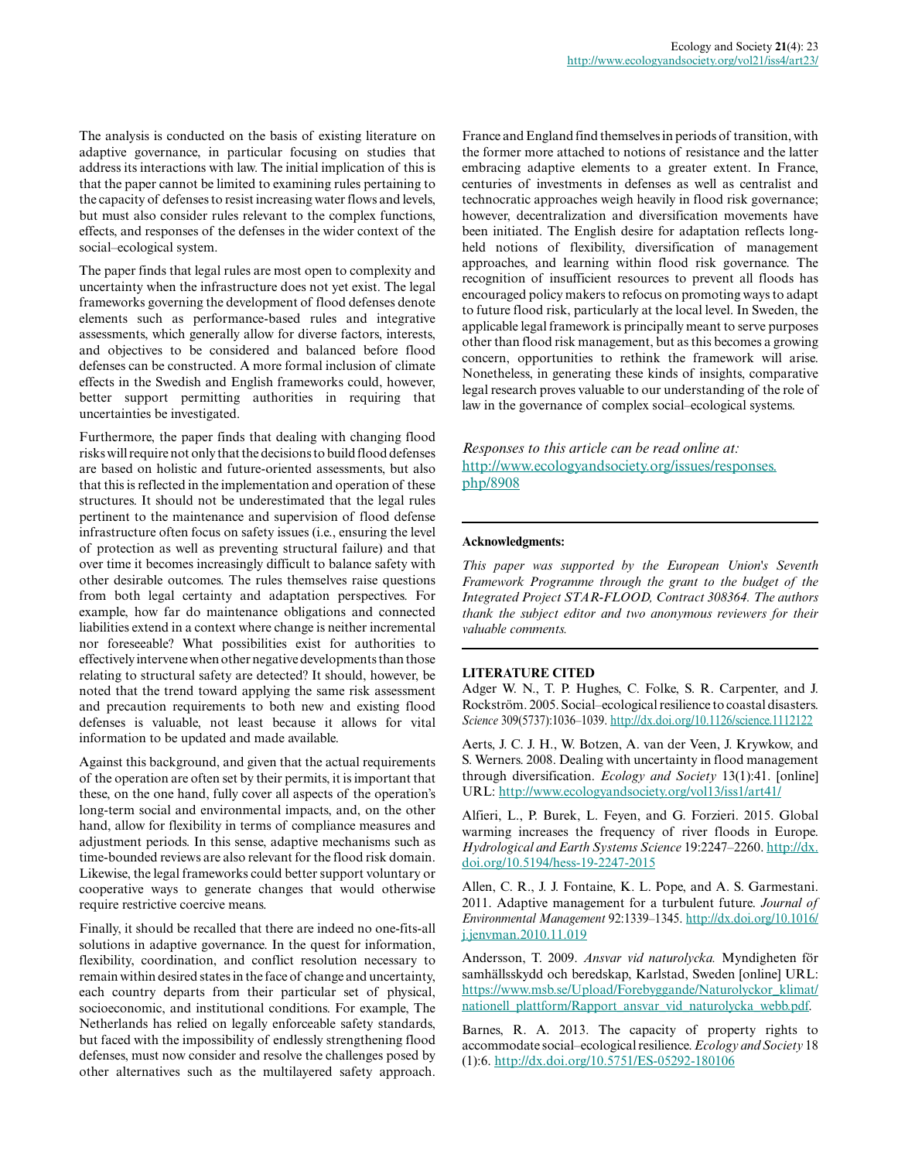The analysis is conducted on the basis of existing literature on adaptive governance, in particular focusing on studies that address its interactions with law. The initial implication of this is that the paper cannot be limited to examining rules pertaining to the capacity of defenses to resist increasing water flows and levels, but must also consider rules relevant to the complex functions, effects, and responses of the defenses in the wider context of the social–ecological system.

The paper finds that legal rules are most open to complexity and uncertainty when the infrastructure does not yet exist. The legal frameworks governing the development of flood defenses denote elements such as performance-based rules and integrative assessments, which generally allow for diverse factors, interests, and objectives to be considered and balanced before flood defenses can be constructed. A more formal inclusion of climate effects in the Swedish and English frameworks could, however, better support permitting authorities in requiring that uncertainties be investigated.

Furthermore, the paper finds that dealing with changing flood risks will require not only that the decisions to build flood defenses are based on holistic and future-oriented assessments, but also that this is reflected in the implementation and operation of these structures. It should not be underestimated that the legal rules pertinent to the maintenance and supervision of flood defense infrastructure often focus on safety issues (i.e., ensuring the level of protection as well as preventing structural failure) and that over time it becomes increasingly difficult to balance safety with other desirable outcomes. The rules themselves raise questions from both legal certainty and adaptation perspectives. For example, how far do maintenance obligations and connected liabilities extend in a context where change is neither incremental nor foreseeable? What possibilities exist for authorities to effectively intervene when other negative developments than those relating to structural safety are detected? It should, however, be noted that the trend toward applying the same risk assessment and precaution requirements to both new and existing flood defenses is valuable, not least because it allows for vital information to be updated and made available.

Against this background, and given that the actual requirements of the operation are often set by their permits, it is important that these, on the one hand, fully cover all aspects of the operation's long-term social and environmental impacts, and, on the other hand, allow for flexibility in terms of compliance measures and adjustment periods. In this sense, adaptive mechanisms such as time-bounded reviews are also relevant for the flood risk domain. Likewise, the legal frameworks could better support voluntary or cooperative ways to generate changes that would otherwise require restrictive coercive means.

Finally, it should be recalled that there are indeed no one-fits-all solutions in adaptive governance. In the quest for information, flexibility, coordination, and conflict resolution necessary to remain within desired states in the face of change and uncertainty, each country departs from their particular set of physical, socioeconomic, and institutional conditions. For example, The Netherlands has relied on legally enforceable safety standards, but faced with the impossibility of endlessly strengthening flood defenses, must now consider and resolve the challenges posed by other alternatives such as the multilayered safety approach. France and England find themselves in periods of transition, with the former more attached to notions of resistance and the latter embracing adaptive elements to a greater extent. In France, centuries of investments in defenses as well as centralist and technocratic approaches weigh heavily in flood risk governance; however, decentralization and diversification movements have been initiated. The English desire for adaptation reflects longheld notions of flexibility, diversification of management approaches, and learning within flood risk governance. The recognition of insufficient resources to prevent all floods has encouraged policy makers to refocus on promoting ways to adapt to future flood risk, particularly at the local level. In Sweden, the applicable legal framework is principally meant to serve purposes other than flood risk management, but as this becomes a growing concern, opportunities to rethink the framework will arise. Nonetheless, in generating these kinds of insights, comparative legal research proves valuable to our understanding of the role of law in the governance of complex social–ecological systems.

*Responses to this article can be read online at:* [http://www.ecologyandsociety.org/issues/responses.](http://www.ecologyandsociety.org/issues/responses.php/8908) [php/8908](http://www.ecologyandsociety.org/issues/responses.php/8908)

#### **Acknowledgments:**

*This paper was supported by the European Union's Seventh Framework Programme through the grant to the budget of the Integrated Project STAR-FLOOD, Contract 308364. The authors thank the subject editor and two anonymous reviewers for their valuable comments.*

#### **LITERATURE CITED**

Adger W. N., T. P. Hughes, C. Folke, S. R. Carpenter, and J. Rockström. 2005. Social–ecological resilience to coastal disasters. *Science* 309(5737):1036–1039. [http://dx.doi.org/10.1126/science.1112122](http://dx.doi.org/10.1126%2Fscience.1112122)

Aerts, J. C. J. H., W. Botzen, A. van der Veen, J. Krywkow, and S. Werners. 2008. Dealing with uncertainty in flood management through diversification. *Ecology and Society* 13(1):41. [online] URL:<http://www.ecologyandsociety.org/vol13/iss1/art41/>

Alfieri, L., P. Burek, L. Feyen, and G. Forzieri. 2015. Global warming increases the frequency of river floods in Europe. *Hydrological and Earth Systems Science* 19:2247–2260. [http://dx.](http://dx.doi.org/10.5194%2Fhess-19-2247-2015) [doi.org/10.5194/hess-19-2247-2015](http://dx.doi.org/10.5194%2Fhess-19-2247-2015) 

Allen, C. R., J. J. Fontaine, K. L. Pope, and A. S. Garmestani. 2011. Adaptive management for a turbulent future. *Journal of Environmental Management* 92:1339–1345. [http://dx.doi.org/10.1016/](http://dx.doi.org/10.1016%2Fj.jenvman.2010.11.019) [j.jenvman.2010.11.019](http://dx.doi.org/10.1016%2Fj.jenvman.2010.11.019)

Andersson, T. 2009. *Ansvar vid naturolycka.* Myndigheten för samhällsskydd och beredskap, Karlstad, Sweden [online] URL: [https://www.msb.se/Upload/Forebyggande/Naturolyckor\\_klimat/](https://www.msb.se/Upload/Forebyggande/Naturolyckor_klimat/nationell_plattform/Rapport_ansvar_vid_naturolycka_webb.pdf) [nationell\\_plattform/Rapport\\_ansvar\\_vid\\_naturolycka\\_webb.pdf.](https://www.msb.se/Upload/Forebyggande/Naturolyckor_klimat/nationell_plattform/Rapport_ansvar_vid_naturolycka_webb.pdf)

Barnes, R. A. 2013. The capacity of property rights to accommodate social–ecological resilience. *Ecology and Society* 18 (1):6. [http://dx.doi.org/10.5751/ES-05292-180106](http://dx.doi.org/10.5751%2FES-05292-180106)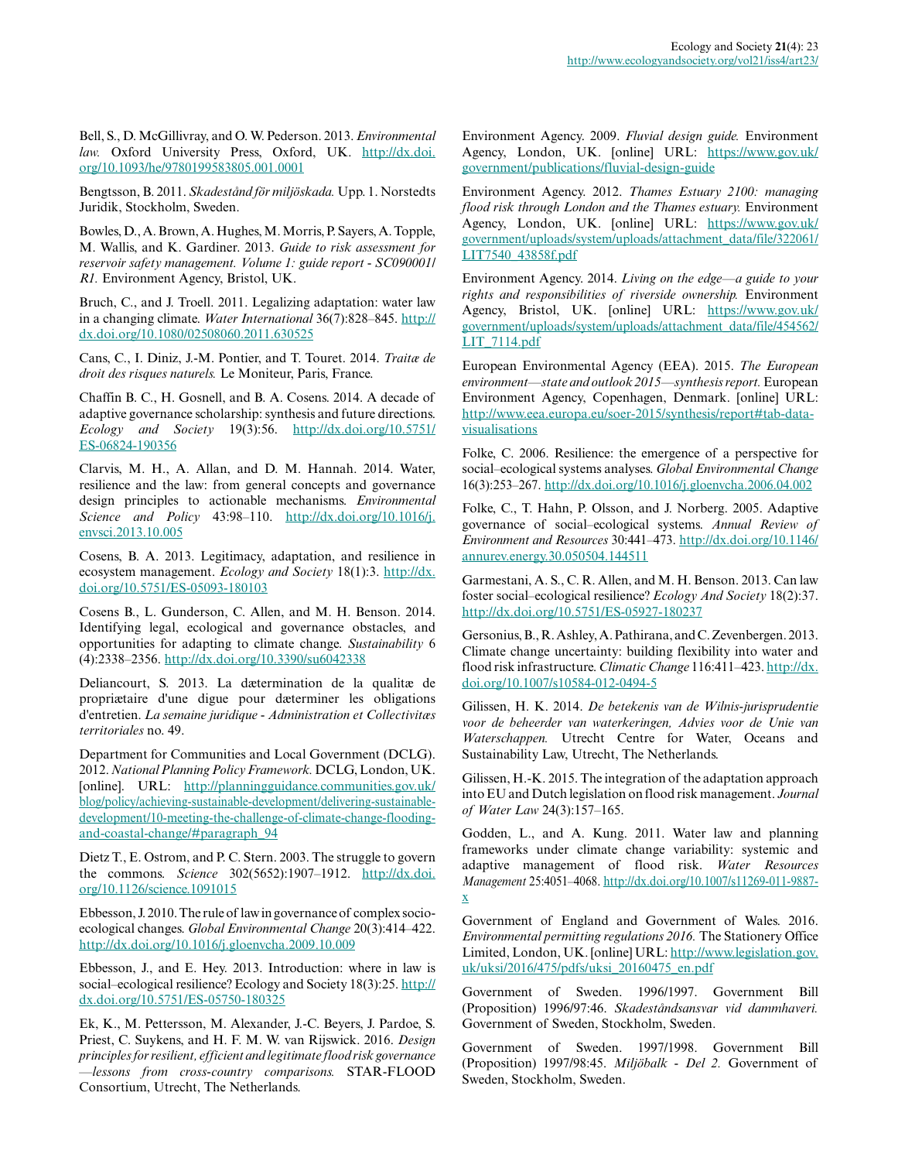Bell, S., D. McGillivray, and O. W. Pederson. 2013. *Environmental law.* Oxford University Press, Oxford, UK. [http://dx.doi.](http://dx.doi.org/10.1093%2Fhe%2F9780199583805.001.0001) [org/10.1093/he/9780199583805.001.0001](http://dx.doi.org/10.1093%2Fhe%2F9780199583805.001.0001) 

Bengtsson, B. 2011. *Skadestånd för miljöskada.* Upp. 1. Norstedts Juridik, Stockholm, Sweden.

Bowles, D., A. Brown, A. Hughes, M. Morris, P. Sayers, A. Topple, M. Wallis, and K. Gardiner. 2013. *Guide to risk assessment for reservoir safety management. Volume 1: guide report - SC090001/ R1.* Environment Agency, Bristol, UK.

Bruch, C., and J. Troell. 2011. Legalizing adaptation: water law in a changing climate. *Water International* 36(7):828–845. [http://](http://dx.doi.org/10.1080%2F02508060.2011.630525) [dx.doi.org/10.1080/02508060.2011.630525](http://dx.doi.org/10.1080%2F02508060.2011.630525) 

Cans, C., I. Diniz, J.-M. Pontier, and T. Touret. 2014. *Traitæ de droit des risques naturels.* Le Moniteur, Paris, France.

Chaffin B. C., H. Gosnell, and B. A. Cosens. 2014. A decade of adaptive governance scholarship: synthesis and future directions. *Ecology and Society* 19(3):56. [http://dx.doi.org/10.5751/](http://dx.doi.org/10.5751%2FES-06824-190356) [ES-06824-190356](http://dx.doi.org/10.5751%2FES-06824-190356)

Clarvis, M. H., A. Allan, and D. M. Hannah. 2014. Water, resilience and the law: from general concepts and governance design principles to actionable mechanisms. *Environmental Science and Policy* 43:98–110. [http://dx.doi.org/10.1016/j.](http://dx.doi.org/10.1016%2Fj.envsci.2013.10.005) [envsci.2013.10.005](http://dx.doi.org/10.1016%2Fj.envsci.2013.10.005) 

Cosens, B. A. 2013. Legitimacy, adaptation, and resilience in ecosystem management. *Ecology and Society* 18(1):3. [http://dx.](http://dx.doi.org/10.5751%2FES-05093-180103) [doi.org/10.5751/ES-05093-180103](http://dx.doi.org/10.5751%2FES-05093-180103)

Cosens B., L. Gunderson, C. Allen, and M. H. Benson. 2014. Identifying legal, ecological and governance obstacles, and opportunities for adapting to climate change. *Sustainability* 6 (4):2338–2356. [http://dx.doi.org/10.3390/su6042338](http://dx.doi.org/10.3390%2Fsu6042338)

Deliancourt, S. 2013. La dætermination de la qualitæ de propriætaire d'une digue pour dæterminer les obligations d'entretien. *La semaine juridique - Administration et Collectivitæs territoriales* no. 49.

Department for Communities and Local Government (DCLG). 2012. *National Planning Policy Framework.* DCLG, London, UK. [online]. URL: [http://planningguidance.communities.gov.uk/](http://planningguidance.communities.gov.uk/blog/policy/achieving-sustainable-development/delivering-sustainable-development/10-meeting-the-challenge-of-climate-change-flooding-and-coastal-change/#paragraph_94) [blog/policy/achieving-sustainable-development/delivering-sustainable](http://planningguidance.communities.gov.uk/blog/policy/achieving-sustainable-development/delivering-sustainable-development/10-meeting-the-challenge-of-climate-change-flooding-and-coastal-change/#paragraph_94)[development/10-meeting-the-challenge-of-climate-change-flooding](http://planningguidance.communities.gov.uk/blog/policy/achieving-sustainable-development/delivering-sustainable-development/10-meeting-the-challenge-of-climate-change-flooding-and-coastal-change/#paragraph_94)[and-coastal-change/#paragraph\\_94](http://planningguidance.communities.gov.uk/blog/policy/achieving-sustainable-development/delivering-sustainable-development/10-meeting-the-challenge-of-climate-change-flooding-and-coastal-change/#paragraph_94)

Dietz T., E. Ostrom, and P. C. Stern. 2003. The struggle to govern the commons. *Science* 302(5652):1907–1912. [http://dx.doi.](http://dx.doi.org/10.1126%2Fscience.1091015) [org/10.1126/science.1091015](http://dx.doi.org/10.1126%2Fscience.1091015)

Ebbesson, J. 2010. The rule of law in governance of complex socioecological changes. *Global Environmental Change* 20(3):414–422. [http://dx.doi.org/10.1016/j.gloenvcha.2009.10.009](http://dx.doi.org/10.1016%2Fj.gloenvcha.2009.10.009)

Ebbesson, J., and E. Hey. 2013. Introduction: where in law is social–ecological resilience? Ecology and Society 18(3):25. [http://](http://dx.doi.org/10.5751%2FES-05750-180325) [dx.doi.org/10.5751/ES-05750-180325](http://dx.doi.org/10.5751%2FES-05750-180325)

Ek, K., M. Pettersson, M. Alexander, J.-C. Beyers, J. Pardoe, S. Priest, C. Suykens, and H. F. M. W. van Rijswick. 2016. *Design principles for resilient, efficient and legitimate flood risk governance —lessons from cross-country comparisons.* STAR-FLOOD Consortium, Utrecht, The Netherlands.

Environment Agency. 2009. *Fluvial design guide.* Environment Agency, London, UK. [online] URL: [https://www.gov.uk/](https://www.gov.uk/government/publications/fluvial-design-guide) [government/publications/fluvial-design-guide](https://www.gov.uk/government/publications/fluvial-design-guide)

Environment Agency. 2012. *Thames Estuary 2100: managing flood risk through London and the Thames estuary.* Environment Agency, London, UK. [online] URL: [https://www.gov.uk/](https://www.gov.uk/government/uploads/system/uploads/attachment_data/file/322061/LIT7540_43858f.pdf) [government/uploads/system/uploads/attachment\\_data/file/322061/](https://www.gov.uk/government/uploads/system/uploads/attachment_data/file/322061/LIT7540_43858f.pdf) [LIT7540\\_43858f.pdf](https://www.gov.uk/government/uploads/system/uploads/attachment_data/file/322061/LIT7540_43858f.pdf)

Environment Agency. 2014. *Living on the edge—a guide to your rights and responsibilities of riverside ownership.* Environment Agency, Bristol, UK. [online] URL: [https://www.gov.uk/](https://www.gov.uk/government/uploads/system/uploads/attachment_data/file/454562/LIT_7114.pdf) [government/uploads/system/uploads/attachment\\_data/file/454562/](https://www.gov.uk/government/uploads/system/uploads/attachment_data/file/454562/LIT_7114.pdf) [LIT\\_7114.pdf](https://www.gov.uk/government/uploads/system/uploads/attachment_data/file/454562/LIT_7114.pdf)

European Environmental Agency (EEA). 2015. *The European environment—state and outlook 2015—synthesis report.* European Environment Agency, Copenhagen, Denmark. [online] URL: [http://www.eea.europa.eu/soer-2015/synthesis/report#tab-data](http://www.eea.europa.eu/soer-2015/synthesis/report#tab-data-visualisations)[visualisations](http://www.eea.europa.eu/soer-2015/synthesis/report#tab-data-visualisations)

Folke, C. 2006. Resilience: the emergence of a perspective for social–ecological systems analyses. *Global Environmental Change* 16(3):253–267. [http://dx.doi.org/10.1016/j.gloenvcha.2006.04.002](http://dx.doi.org/10.1016%2Fj.gloenvcha.2006.04.002) 

Folke, C., T. Hahn, P. Olsson, and J. Norberg. 2005. Adaptive governance of social–ecological systems. *Annual Review of Environment and Resources* 30:441–473. [http://dx.doi.org/10.1146/](http://dx.doi.org/10.1146%2Fannurev.energy.30.050504.144511) [annurev.energy.30.050504.144511](http://dx.doi.org/10.1146%2Fannurev.energy.30.050504.144511) 

Garmestani, A. S., C. R. Allen, and M. H. Benson. 2013. Can law foster social–ecological resilience? *Ecology And Society* 18(2):37. [http://dx.doi.org/10.5751/ES-05927-180237](http://dx.doi.org/10.5751%2FES-05927-180237) 

Gersonius, B., R. Ashley, A. Pathirana, and C. Zevenbergen. 2013. Climate change uncertainty: building flexibility into water and flood risk infrastructure. *Climatic Change* 116:411–423. [http://dx.](http://dx.doi.org/10.1007%2Fs10584-012-0494-5) [doi.org/10.1007/s10584-012-0494-5](http://dx.doi.org/10.1007%2Fs10584-012-0494-5) 

Gilissen, H. K. 2014. *De betekenis van de Wilnis-jurisprudentie voor de beheerder van waterkeringen, Advies voor de Unie van Waterschappen.* Utrecht Centre for Water, Oceans and Sustainability Law, Utrecht, The Netherlands.

Gilissen, H.-K. 2015. The integration of the adaptation approach into EU and Dutch legislation on flood risk management. *Journal of Water Law* 24(3):157–165.

Godden, L., and A. Kung. 2011. Water law and planning frameworks under climate change variability: systemic and adaptive management of flood risk. *Water Resources Management* 25:4051–4068. [http://dx.doi.org/10.1007/s11269-011-9887](http://dx.doi.org/10.1007%2Fs11269-011-9887-x) [x](http://dx.doi.org/10.1007%2Fs11269-011-9887-x) 

Government of England and Government of Wales. 2016. *Environmental permitting regulations 2016.* The Stationery Office Limited, London, UK. [online] URL: [http://www.legislation.gov.](http://www.legislation.gov.uk/uksi/2016/475/pdfs/uksi_20160475_en.pdf) [uk/uksi/2016/475/pdfs/uksi\\_20160475\\_en.pdf](http://www.legislation.gov.uk/uksi/2016/475/pdfs/uksi_20160475_en.pdf)

Government of Sweden. 1996/1997. Government Bill (Proposition) 1996/97:46. *Skadeståndsansvar vid dammhaveri.* Government of Sweden, Stockholm, Sweden.

Government of Sweden. 1997/1998. Government Bill (Proposition) 1997/98:45. *Miljöbalk - Del 2.* Government of Sweden, Stockholm, Sweden.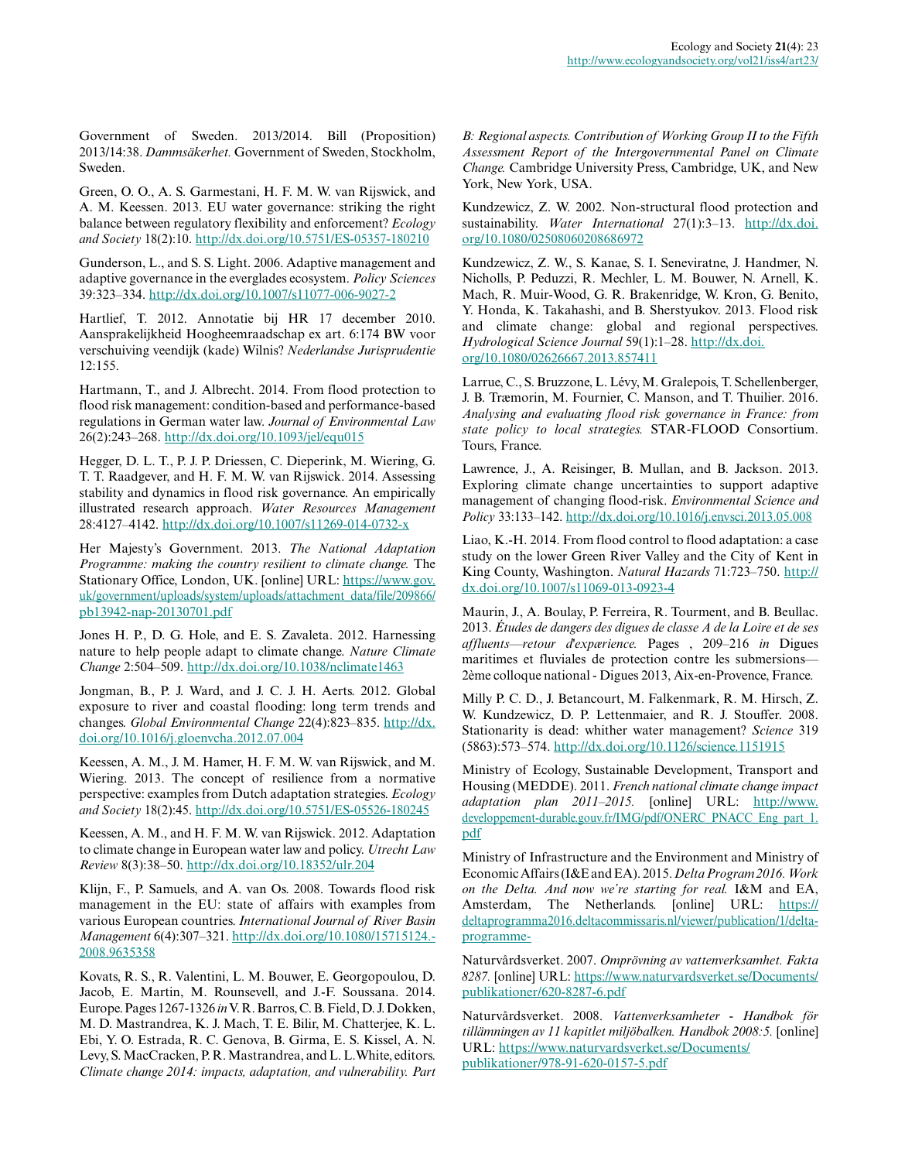Government of Sweden. 2013/2014. Bill (Proposition) 2013/14:38. *Dammsäkerhet.* Government of Sweden, Stockholm, Sweden.

Green, O. O., A. S. Garmestani, H. F. M. W. van Rijswick, and A. M. Keessen. 2013. EU water governance: striking the right balance between regulatory flexibility and enforcement? *Ecology and Society* 18(2):10. [http://dx.doi.org/10.5751/ES-05357-180210](http://dx.doi.org/10.5751%2FES-05357-180210) 

Gunderson, L., and S. S. Light. 2006. Adaptive management and adaptive governance in the everglades ecosystem. *Policy Sciences* 39:323–334. [http://dx.doi.org/10.1007/s11077-006-9027-2](http://dx.doi.org/10.1007%2Fs11077-006-9027-2) 

Hartlief, T. 2012. Annotatie bij HR 17 december 2010. Aansprakelijkheid Hoogheemraadschap ex art. 6:174 BW voor verschuiving veendijk (kade) Wilnis? *Nederlandse Jurisprudentie* 12:155.

Hartmann, T., and J. Albrecht. 2014. From flood protection to flood risk management: condition-based and performance-based regulations in German water law. *Journal of Environmental Law* 26(2):243–268. [http://dx.doi.org/10.1093/jel/equ015](http://dx.doi.org/10.1093%2Fjel%2Fequ015)

Hegger, D. L. T., P. J. P. Driessen, C. Dieperink, M. Wiering, G. T. T. Raadgever, and H. F. M. W. van Rijswick. 2014. Assessing stability and dynamics in flood risk governance. An empirically illustrated research approach. *Water Resources Management* 28:4127–4142. [http://dx.doi.org/10.1007/s11269-014-0732-x](http://dx.doi.org/10.1007%2Fs11269-014-0732-x) 

Her Majesty's Government. 2013. *The National Adaptation Programme: making the country resilient to climate change.* The Stationary Office, London, UK. [online] URL: [https://www.gov.](https://www.gov.uk/government/uploads/system/uploads/attachment_data/file/209866/pb13942-nap-20130701.pdf) [uk/government/uploads/system/uploads/attachment\\_data/file/209866/](https://www.gov.uk/government/uploads/system/uploads/attachment_data/file/209866/pb13942-nap-20130701.pdf) [pb13942-nap-20130701.pdf](https://www.gov.uk/government/uploads/system/uploads/attachment_data/file/209866/pb13942-nap-20130701.pdf)

Jones H. P., D. G. Hole, and E. S. Zavaleta. 2012. Harnessing nature to help people adapt to climate change. *Nature Climate Change* 2:504–509. [http://dx.doi.org/10.1038/nclimate1463](http://dx.doi.org/10.1038%2Fnclimate1463)

Jongman, B., P. J. Ward, and J. C. J. H. Aerts. 2012. Global exposure to river and coastal flooding: long term trends and changes. *Global Environmental Change* 22(4):823–835. [http://dx.](http://dx.doi.org/10.1016%2Fj.gloenvcha.2012.07.004) [doi.org/10.1016/j.gloenvcha.2012.07.004](http://dx.doi.org/10.1016%2Fj.gloenvcha.2012.07.004) 

Keessen, A. M., J. M. Hamer, H. F. M. W. van Rijswick, and M. Wiering. 2013. The concept of resilience from a normative perspective: examples from Dutch adaptation strategies. *Ecology and Society* 18(2):45. [http://dx.doi.org/10.5751/ES-05526-180245](http://dx.doi.org/10.5751%2FES-05526-180245) 

Keessen, A. M., and H. F. M. W. van Rijswick. 2012. Adaptation to climate change in European water law and policy. *Utrecht Law Review* 8(3):38–50. [http://dx.doi.org/10.18352/ulr.204](http://dx.doi.org/10.18352%2Fulr.204)

Klijn, F., P. Samuels, and A. van Os. 2008. Towards flood risk management in the EU: state of affairs with examples from various European countries. *International Journal of River Basin Management* 6(4):307–321. [http://dx.doi.org/10.1080/15715124.](http://dx.doi.org/10.1080%2F15715124.2008.9635358) [2008.9635358](http://dx.doi.org/10.1080%2F15715124.2008.9635358) 

Kovats, R. S., R. Valentini, L. M. Bouwer, E. Georgopoulou, D. Jacob, E. Martin, M. Rounsevell, and J.-F. Soussana. 2014. Europe. Pages 1267-1326 *in* V. R. Barros, C. B. Field, D. J. Dokken, M. D. Mastrandrea, K. J. Mach, T. E. Bilir, M. Chatterjee, K. L. Ebi, Y. O. Estrada, R. C. Genova, B. Girma, E. S. Kissel, A. N. Levy, S. MacCracken, P. R. Mastrandrea, and L. L.White, editors. *Climate change 2014: impacts, adaptation, and vulnerability. Part*

*B: Regional aspects. Contribution of Working Group II to the Fifth Assessment Report of the Intergovernmental Panel on Climate Change.* Cambridge University Press, Cambridge, UK, and New York, New York, USA.

Kundzewicz, Z. W. 2002. Non-structural flood protection and sustainability. *Water International* 27(1):3–13. [http://dx.doi.](http://dx.doi.org/10.1080%2F02508060208686972) [org/10.1080/02508060208686972](http://dx.doi.org/10.1080%2F02508060208686972) 

Kundzewicz, Z. W., S. Kanae, S. I. Seneviratne, J. Handmer, N. Nicholls, P. Peduzzi, R. Mechler, L. M. Bouwer, N. Arnell, K. Mach, R. Muir-Wood, G. R. Brakenridge, W. Kron, G. Benito, Y. Honda, K. Takahashi, and B. Sherstyukov. 2013. Flood risk and climate change: global and regional perspectives. *Hydrological Science Journal* 59(1):1–28. [http://dx.doi.](http://dx.doi.org/10.1080%2F02626667.2013.857411) [org/10.1080/02626667.2013.857411](http://dx.doi.org/10.1080%2F02626667.2013.857411)

Larrue, C., S. Bruzzone, L. Lévy, M. Gralepois, T. Schellenberger, J. B. Træmorin, M. Fournier, C. Manson, and T. Thuilier. 2016. *Analysing and evaluating flood risk governance in France: from state policy to local strategies.* STAR-FLOOD Consortium. Tours, France.

Lawrence, J., A. Reisinger, B. Mullan, and B. Jackson. 2013. Exploring climate change uncertainties to support adaptive management of changing flood-risk. *Environmental Science and Policy* 33:133–142. [http://dx.doi.org/10.1016/j.envsci.2013.05.008](http://dx.doi.org/10.1016%2Fj.envsci.2013.05.008) 

Liao, K.-H. 2014. From flood control to flood adaptation: a case study on the lower Green River Valley and the City of Kent in King County, Washington. *Natural Hazards* 71:723–750. [http://](http://dx.doi.org/10.1007%2Fs11069-013-0923-4) [dx.doi.org/10.1007/s11069-013-0923-4](http://dx.doi.org/10.1007%2Fs11069-013-0923-4) 

Maurin, J., A. Boulay, P. Ferreira, R. Tourment, and B. Beullac. 2013. *Études de dangers des digues de classe A de la Loire et de ses affluents—retour d'expærience.* Pages , 209–216 *in* Digues maritimes et fluviales de protection contre les submersions— 2ème colloque national - Digues 2013, Aix-en-Provence, France.

Milly P. C. D., J. Betancourt, M. Falkenmark, R. M. Hirsch, Z. W. Kundzewicz, D. P. Lettenmaier, and R. J. Stouffer. 2008. Stationarity is dead: whither water management? *Science* 319 (5863):573–574. [http://dx.doi.org/10.1126/science.1151915](http://dx.doi.org/10.1126%2Fscience.1151915)

Ministry of Ecology, Sustainable Development, Transport and Housing (MEDDE). 2011. *French national climate change impact adaptation plan 2011–2015.* [online] URL: [http://www.](http://www.developpement-durable.gouv.fr/IMG/pdf/ONERC_PNACC_Eng_part_1.pdf) [developpement-durable.gouv.fr/IMG/pdf/ONERC\\_PNACC\\_Eng\\_part\\_1.](http://www.developpement-durable.gouv.fr/IMG/pdf/ONERC_PNACC_Eng_part_1.pdf) [pdf](http://www.developpement-durable.gouv.fr/IMG/pdf/ONERC_PNACC_Eng_part_1.pdf)

Ministry of Infrastructure and the Environment and Ministry of Economic Affairs (I&E and EA). 2015. *Delta Program 2016. Work on the Delta. And now we're starting for real.* I&M and EA, Amsterdam, The Netherlands. [online] URL: [https://](https://deltaprogramma2016.deltacommissaris.nl/viewer/publication/1/delta-programme-) [deltaprogramma2016.deltacommissaris.nl/viewer/publication/1/delta](https://deltaprogramma2016.deltacommissaris.nl/viewer/publication/1/delta-programme-)[programme-](https://deltaprogramma2016.deltacommissaris.nl/viewer/publication/1/delta-programme-)

Naturvårdsverket. 2007. *Omprövning av vattenverksamhet. Fakta 8287.* [online] URL: [https://www.naturvardsverket.se/Documents/](https://www.naturvardsverket.se/Documents/publikationer/620-8287-6.pdf) [publikationer/620-8287-6.pdf](https://www.naturvardsverket.se/Documents/publikationer/620-8287-6.pdf)

Naturvårdsverket. 2008. *Vattenverksamheter - Handbok för tillämningen av 11 kapitlet miljöbalken. Handbok 2008:5.* [online] URL: [https://www.naturvardsverket.se/Documents/](https://www.naturvardsverket.se/Documents/publikationer/978-91-620-0157-5.pdf) [publikationer/978-91-620-0157-5.pdf](https://www.naturvardsverket.se/Documents/publikationer/978-91-620-0157-5.pdf)